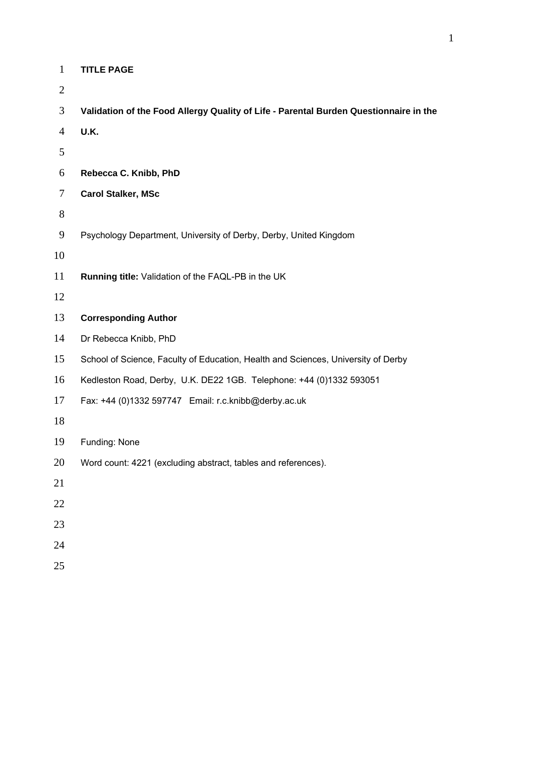| $\mathbf{1}$   | <b>TITLE PAGE</b>                                                                     |
|----------------|---------------------------------------------------------------------------------------|
| $\overline{2}$ |                                                                                       |
| 3              | Validation of the Food Allergy Quality of Life - Parental Burden Questionnaire in the |
| $\overline{4}$ | <b>U.K.</b>                                                                           |
| 5              |                                                                                       |
| 6              | Rebecca C. Knibb, PhD                                                                 |
| 7              | <b>Carol Stalker, MSc</b>                                                             |
| $8\,$          |                                                                                       |
| 9              | Psychology Department, University of Derby, Derby, United Kingdom                     |
| 10             |                                                                                       |
| 11             | Running title: Validation of the FAQL-PB in the UK                                    |
| 12             |                                                                                       |
| 13             | <b>Corresponding Author</b>                                                           |
| 14             | Dr Rebecca Knibb, PhD                                                                 |
| 15             | School of Science, Faculty of Education, Health and Sciences, University of Derby     |
| 16             | Kedleston Road, Derby, U.K. DE22 1GB. Telephone: +44 (0)1332 593051                   |
| 17             | Fax: +44 (0)1332 597747 Email: r.c.knibb@derby.ac.uk                                  |
| 18             |                                                                                       |
| 19             | Funding: None                                                                         |
| 20             | Word count: 4221 (excluding abstract, tables and references).                         |
| 21             |                                                                                       |
| 22             |                                                                                       |
| 23             |                                                                                       |
| 24             |                                                                                       |
| 25             |                                                                                       |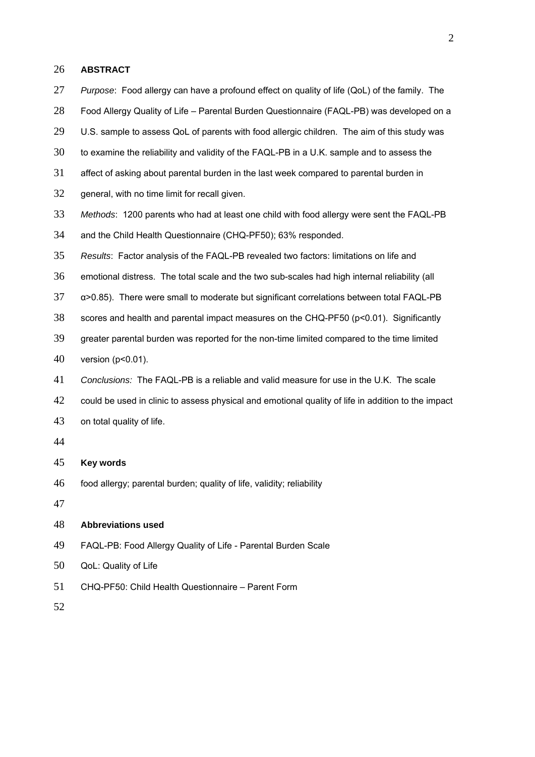#### **ABSTRACT**

- *Purpose*: Food allergy can have a profound effect on quality of life (QoL) of the family. The Food Allergy Quality of Life – Parental Burden Questionnaire (FAQL-PB) was developed on a 29 U.S. sample to assess QoL of parents with food allergic children. The aim of this study was to examine the reliability and validity of the FAQL-PB in a U.K. sample and to assess the affect of asking about parental burden in the last week compared to parental burden in 32 general, with no time limit for recall given. *Methods*: 1200 parents who had at least one child with food allergy were sent the FAQL-PB and the Child Health Questionnaire (CHQ-PF50); 63% responded. *Results*: Factor analysis of the FAQL-PB revealed two factors: limitations on life and emotional distress. The total scale and the two sub-scales had high internal reliability (all α>0.85). There were small to moderate but significant correlations between total FAQL-PB scores and health and parental impact measures on the CHQ-PF50 (p<0.01). Significantly greater parental burden was reported for the non-time limited compared to the time limited version (p<0.01). *Conclusions:*The FAQL-PB is a reliable and valid measure for use in the U.K. The scale 42 could be used in clinic to assess physical and emotional quality of life in addition to the impact on total quality of life. **Key words** food allergy; parental burden; quality of life, validity; reliability **Abbreviations used**  FAQL-PB: Food Allergy Quality of Life - Parental Burden Scale QoL: Quality of Life
- CHQ-PF50: Child Health Questionnaire Parent Form
-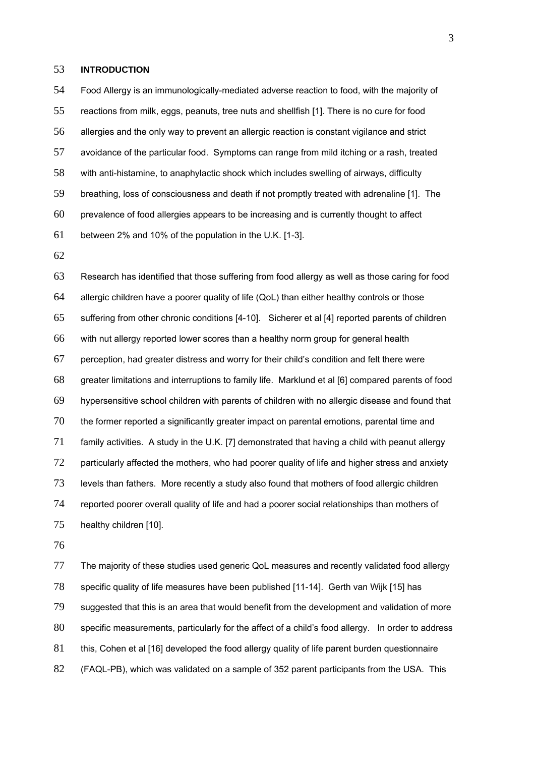## **INTRODUCTION**

Food Allergy is an immunologically-mediated adverse reaction to food, with the majority of reactions from milk, eggs, peanuts, tree nuts and shellfish [1]. There is no cure for food allergies and the only way to prevent an allergic reaction is constant vigilance and strict avoidance of the particular food. Symptoms can range from mild itching or a rash, treated with anti-histamine, to anaphylactic shock which includes swelling of airways, difficulty breathing, loss of consciousness and death if not promptly treated with adrenaline [1]. The prevalence of food allergies appears to be increasing and is currently thought to affect between 2% and 10% of the population in the U.K. [1-3].

Research has identified that those suffering from food allergy as well as those caring for food allergic children have a poorer quality of life (QoL) than either healthy controls or those suffering from other chronic conditions [4-10]. Sicherer et al [4] reported parents of children with nut allergy reported lower scores than a healthy norm group for general health perception, had greater distress and worry for their child's condition and felt there were greater limitations and interruptions to family life. Marklund et al [6] compared parents of food hypersensitive school children with parents of children with no allergic disease and found that the former reported a significantly greater impact on parental emotions, parental time and family activities. A study in the U.K. [7] demonstrated that having a child with peanut allergy 72 particularly affected the mothers, who had poorer quality of life and higher stress and anxiety levels than fathers. More recently a study also found that mothers of food allergic children reported poorer overall quality of life and had a poorer social relationships than mothers of healthy children [10].

The majority of these studies used generic QoL measures and recently validated food allergy specific quality of life measures have been published [11-14]. Gerth van Wijk [15] has suggested that this is an area that would benefit from the development and validation of more specific measurements, particularly for the affect of a child's food allergy. In order to address 81 this, Cohen et al [16] developed the food allergy quality of life parent burden questionnaire (FAQL-PB), which was validated on a sample of 352 parent participants from the USA. This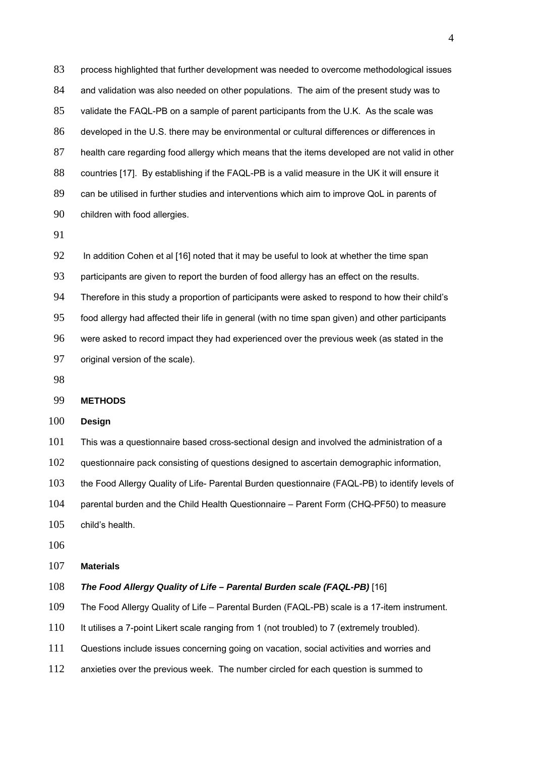process highlighted that further development was needed to overcome methodological issues 84 and validation was also needed on other populations. The aim of the present study was to validate the FAQL-PB on a sample of parent participants from the U.K. As the scale was developed in the U.S. there may be environmental or cultural differences or differences in health care regarding food allergy which means that the items developed are not valid in other countries [17]. By establishing if the FAQL-PB is a valid measure in the UK it will ensure it can be utilised in further studies and interventions which aim to improve QoL in parents of children with food allergies.

92 In addition Cohen et al [16] noted that it may be useful to look at whether the time span

participants are given to report the burden of food allergy has an effect on the results.

Therefore in this study a proportion of participants were asked to respond to how their child's

food allergy had affected their life in general (with no time span given) and other participants

were asked to record impact they had experienced over the previous week (as stated in the original version of the scale).

## **METHODS**

#### **Design**

This was a questionnaire based cross-sectional design and involved the administration of a 102 questionnaire pack consisting of questions designed to ascertain demographic information, the Food Allergy Quality of Life- Parental Burden questionnaire (FAQL-PB) to identify levels of parental burden and the Child Health Questionnaire – Parent Form (CHQ-PF50) to measure child's health.

#### **Materials**

## *The Food Allergy Quality of Life – Parental Burden scale (FAQL-PB)* [16]

The Food Allergy Quality of Life – Parental Burden (FAQL-PB) scale is a 17-item instrument.

It utilises a 7-point Likert scale ranging from 1 (not troubled) to 7 (extremely troubled).

Questions include issues concerning going on vacation, social activities and worries and

112 anxieties over the previous week. The number circled for each question is summed to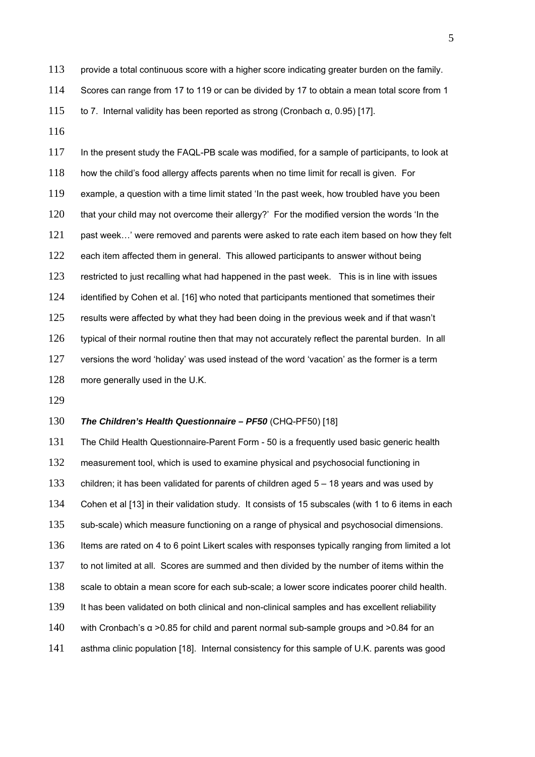113 provide a total continuous score with a higher score indicating greater burden on the family. 114 Scores can range from 17 to 119 or can be divided by 17 to obtain a mean total score from 1

115 to 7. Internal validity has been reported as strong (Cronbach α, 0.95) [17].

116

117 In the present study the FAQL-PB scale was modified, for a sample of participants, to look at 118 how the child's food allergy affects parents when no time limit for recall is given. For 119 example, a question with a time limit stated 'In the past week, how troubled have you been 120 that your child may not overcome their allergy?' For the modified version the words 'In the 121 past week...' were removed and parents were asked to rate each item based on how they felt 122 each item affected them in general. This allowed participants to answer without being 123 restricted to just recalling what had happened in the past week. This is in line with issues 124 identified by Cohen et al. [16] who noted that participants mentioned that sometimes their 125 results were affected by what they had been doing in the previous week and if that wasn't 126 typical of their normal routine then that may not accurately reflect the parental burden. In all 127 versions the word 'holiday' was used instead of the word 'vacation' as the former is a term 128 more generally used in the U.K.

129

## 130 *The Children's Health Questionnaire – PF50* (CHQ-PF50) [18]

The Child Health Questionnaire-Parent Form - 50 is a frequently used basic generic health 132 measurement tool, which is used to examine physical and psychosocial functioning in 133 children; it has been validated for parents of children aged 5 – 18 years and was used by Cohen et al [13] in their validation study. It consists of 15 subscales (with 1 to 6 items in each sub-scale) which measure functioning on a range of physical and psychosocial dimensions. Items are rated on 4 to 6 point Likert scales with responses typically ranging from limited a lot to not limited at all. Scores are summed and then divided by the number of items within the 138 scale to obtain a mean score for each sub-scale; a lower score indicates poorer child health. It has been validated on both clinical and non-clinical samples and has excellent reliability 140 with Cronbach's  $\alpha$  >0.85 for child and parent normal sub-sample groups and >0.84 for an asthma clinic population [18]. Internal consistency for this sample of U.K. parents was good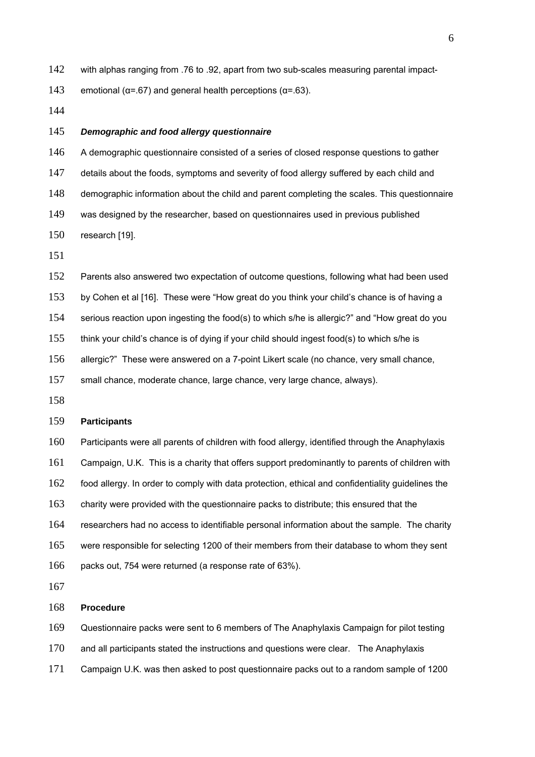142 with alphas ranging from .76 to .92, apart from two sub-scales measuring parental impact-

143 emotional ( $\alpha$ =.67) and general health perceptions ( $\alpha$ =.63).

## *Demographic and food allergy questionnaire*

146 A demographic questionnaire consisted of a series of closed response questions to gather

147 details about the foods, symptoms and severity of food allergy suffered by each child and

- demographic information about the child and parent completing the scales. This questionnaire
- was designed by the researcher, based on questionnaires used in previous published
- research [19].

152 Parents also answered two expectation of outcome questions, following what had been used

by Cohen et al [16]. These were "How great do you think your child's chance is of having a

serious reaction upon ingesting the food(s) to which s/he is allergic?" and "How great do you

think your child's chance is of dying if your child should ingest food(s) to which s/he is

allergic?" These were answered on a 7-point Likert scale (no chance, very small chance,

small chance, moderate chance, large chance, very large chance, always).

## **Participants**

Participants were all parents of children with food allergy, identified through the Anaphylaxis Campaign, U.K. This is a charity that offers support predominantly to parents of children with food allergy. In order to comply with data protection, ethical and confidentiality guidelines the charity were provided with the questionnaire packs to distribute; this ensured that the researchers had no access to identifiable personal information about the sample. The charity were responsible for selecting 1200 of their members from their database to whom they sent packs out, 754 were returned (a response rate of 63%).

#### **Procedure**

Questionnaire packs were sent to 6 members of The Anaphylaxis Campaign for pilot testing

and all participants stated the instructions and questions were clear. The Anaphylaxis

Campaign U.K. was then asked to post questionnaire packs out to a random sample of 1200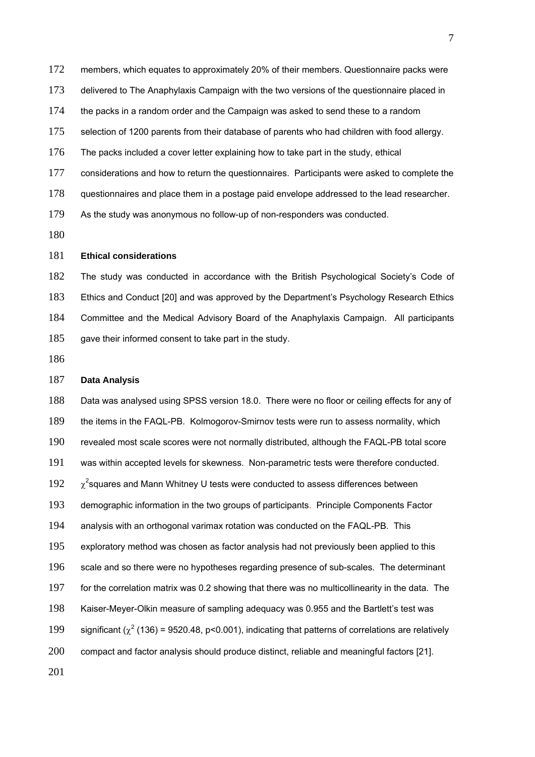members, which equates to approximately 20% of their members. Questionnaire packs were

delivered to The Anaphylaxis Campaign with the two versions of the questionnaire placed in

the packs in a random order and the Campaign was asked to send these to a random

selection of 1200 parents from their database of parents who had children with food allergy.

The packs included a cover letter explaining how to take part in the study, ethical

considerations and how to return the questionnaires. Participants were asked to complete the

questionnaires and place them in a postage paid envelope addressed to the lead researcher.

As the study was anonymous no follow-up of non-responders was conducted.

#### **Ethical considerations**

The study was conducted in accordance with the British Psychological Society's Code of Ethics and Conduct [20] and was approved by the Department's Psychology Research Ethics Committee and the Medical Advisory Board of the Anaphylaxis Campaign. All participants gave their informed consent to take part in the study.

## **Data Analysis**

Data was analysed using SPSS version 18.0. There were no floor or ceiling effects for any of the items in the FAQL-PB. Kolmogorov-Smirnov tests were run to assess normality, which revealed most scale scores were not normally distributed, although the FAQL-PB total score was within accepted levels for skewness. Non-parametric tests were therefore conducted.  $192 \gamma^2$ squares and Mann Whitney U tests were conducted to assess differences between demographic information in the two groups of participants. Principle Components Factor analysis with an orthogonal varimax rotation was conducted on the FAQL-PB. This 195 exploratory method was chosen as factor analysis had not previously been applied to this scale and so there were no hypotheses regarding presence of sub-scales. The determinant for the correlation matrix was 0.2 showing that there was no multicollinearity in the data. The Kaiser-Meyer-Olkin measure of sampling adequacy was 0.955 and the Bartlett's test was 199 significant ( $\chi^2$  (136) = 9520.48, p<0.001), indicating that patterns of correlations are relatively compact and factor analysis should produce distinct, reliable and meaningful factors [21].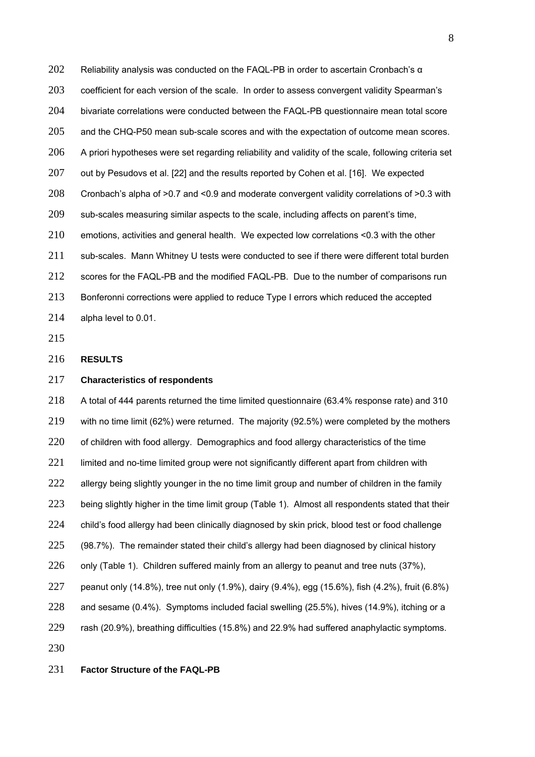202 Reliability analysis was conducted on the FAQL-PB in order to ascertain Cronbach's  $\alpha$ coefficient for each version of the scale. In order to assess convergent validity Spearman's bivariate correlations were conducted between the FAQL-PB questionnaire mean total score and the CHQ-P50 mean sub-scale scores and with the expectation of outcome mean scores. 206 A priori hypotheses were set regarding reliability and validity of the scale, following criteria set 207 out by Pesudovs et al. [22] and the results reported by Cohen et al. [16]. We expected Cronbach's alpha of >0.7 and <0.9 and moderate convergent validity correlations of >0.3 with sub-scales measuring similar aspects to the scale, including affects on parent's time, emotions, activities and general health. We expected low correlations <0.3 with the other 211 sub-scales. Mann Whitney U tests were conducted to see if there were different total burden 212 scores for the FAQL-PB and the modified FAQL-PB. Due to the number of comparisons run Bonferonni corrections were applied to reduce Type I errors which reduced the accepted alpha level to 0.01.

# **RESULTS**

## **Characteristics of respondents**

A total of 444 parents returned the time limited questionnaire (63.4% response rate) and 310 with no time limit (62%) were returned. The majority (92.5%) were completed by the mothers 220 of children with food allergy. Demographics and food allergy characteristics of the time 221 limited and no-time limited group were not significantly different apart from children with 222 allergy being slightly younger in the no time limit group and number of children in the family 223 being slightly higher in the time limit group (Table 1). Almost all respondents stated that their 224 child's food allergy had been clinically diagnosed by skin prick, blood test or food challenge (98.7%). The remainder stated their child's allergy had been diagnosed by clinical history 226 only (Table 1). Children suffered mainly from an allergy to peanut and tree nuts (37%), peanut only (14.8%), tree nut only (1.9%), dairy (9.4%), egg (15.6%), fish (4.2%), fruit (6.8%) and sesame (0.4%). Symptoms included facial swelling (25.5%), hives (14.9%), itching or a rash (20.9%), breathing difficulties (15.8%) and 22.9% had suffered anaphylactic symptoms. 

#### **Factor Structure of the FAQL-PB**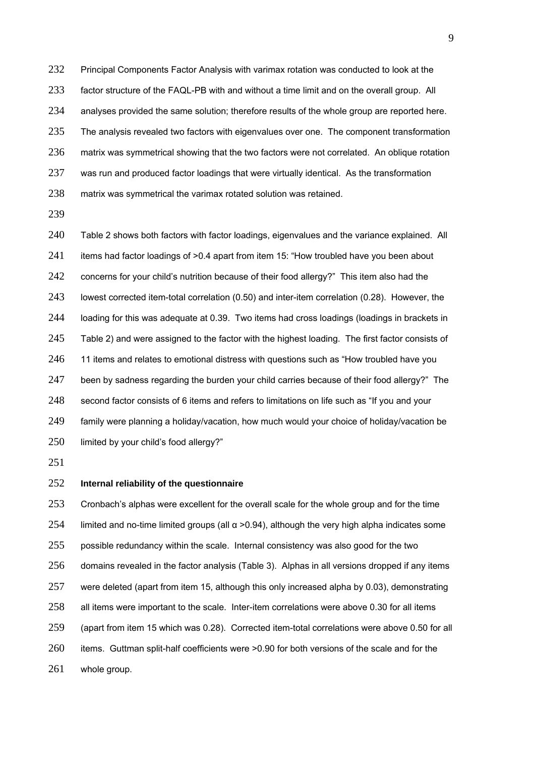232 Principal Components Factor Analysis with varimax rotation was conducted to look at the factor structure of the FAQL-PB with and without a time limit and on the overall group. All analyses provided the same solution; therefore results of the whole group are reported here. The analysis revealed two factors with eigenvalues over one. The component transformation 236 matrix was symmetrical showing that the two factors were not correlated. An oblique rotation 237 was run and produced factor loadings that were virtually identical. As the transformation matrix was symmetrical the varimax rotated solution was retained.

240 Table 2 shows both factors with factor loadings, eigenvalues and the variance explained. All 241 items had factor loadings of >0.4 apart from item 15: "How troubled have you been about 242 concerns for your child's nutrition because of their food allergy?" This item also had the lowest corrected item-total correlation (0.50) and inter-item correlation (0.28). However, the loading for this was adequate at 0.39. Two items had cross loadings (loadings in brackets in 245 Table 2) and were assigned to the factor with the highest loading. The first factor consists of 246 11 items and relates to emotional distress with questions such as "How troubled have you 247 been by sadness regarding the burden your child carries because of their food allergy?" The second factor consists of 6 items and refers to limitations on life such as "If you and your family were planning a holiday/vacation, how much would your choice of holiday/vacation be 250 limited by your child's food allergy?"

## **Internal reliability of the questionnaire**

253 Cronbach's alphas were excellent for the overall scale for the whole group and for the time limited and no-time limited groups (all α > 0.94), although the very high alpha indicates some possible redundancy within the scale. Internal consistency was also good for the two domains revealed in the factor analysis (Table 3). Alphas in all versions dropped if any items were deleted (apart from item 15, although this only increased alpha by 0.03), demonstrating all items were important to the scale. Inter-item correlations were above 0.30 for all items (apart from item 15 which was 0.28). Corrected item-total correlations were above 0.50 for all items. Guttman split-half coefficients were >0.90 for both versions of the scale and for the whole group.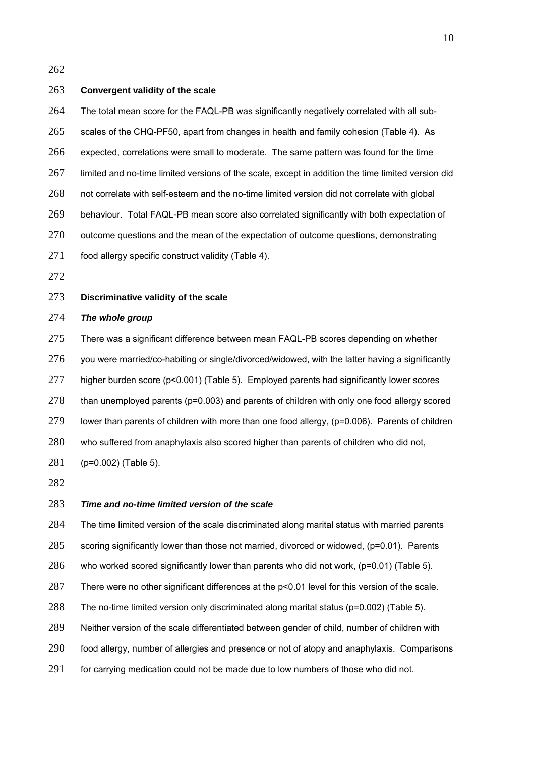#### **Convergent validity of the scale**

The total mean score for the FAQL-PB was significantly negatively correlated with all sub-

scales of the CHQ-PF50, apart from changes in health and family cohesion (Table 4). As

expected, correlations were small to moderate. The same pattern was found for the time

limited and no-time limited versions of the scale, except in addition the time limited version did

not correlate with self-esteem and the no-time limited version did not correlate with global

behaviour. Total FAQL-PB mean score also correlated significantly with both expectation of

outcome questions and the mean of the expectation of outcome questions, demonstrating

- 271 food allergy specific construct validity (Table 4).
- 

## **Discriminative validity of the scale**

# *The whole group*

275 There was a significant difference between mean FAQL-PB scores depending on whether you were married/co-habiting or single/divorced/widowed, with the latter having a significantly higher burden score (p<0.001) (Table 5). Employed parents had significantly lower scores 278 than unemployed parents (p=0.003) and parents of children with only one food allergy scored lower than parents of children with more than one food allergy, (p=0.006). Parents of children who suffered from anaphylaxis also scored higher than parents of children who did not, (p=0.002) (Table 5).

## *Time and no-time limited version of the scale*

284 The time limited version of the scale discriminated along marital status with married parents

scoring significantly lower than those not married, divorced or widowed, (p=0.01). Parents

who worked scored significantly lower than parents who did not work, (p=0.01) (Table 5).

There were no other significant differences at the p<0.01 level for this version of the scale.

288 The no-time limited version only discriminated along marital status (p=0.002) (Table 5).

Neither version of the scale differentiated between gender of child, number of children with

food allergy, number of allergies and presence or not of atopy and anaphylaxis. Comparisons

291 for carrying medication could not be made due to low numbers of those who did not.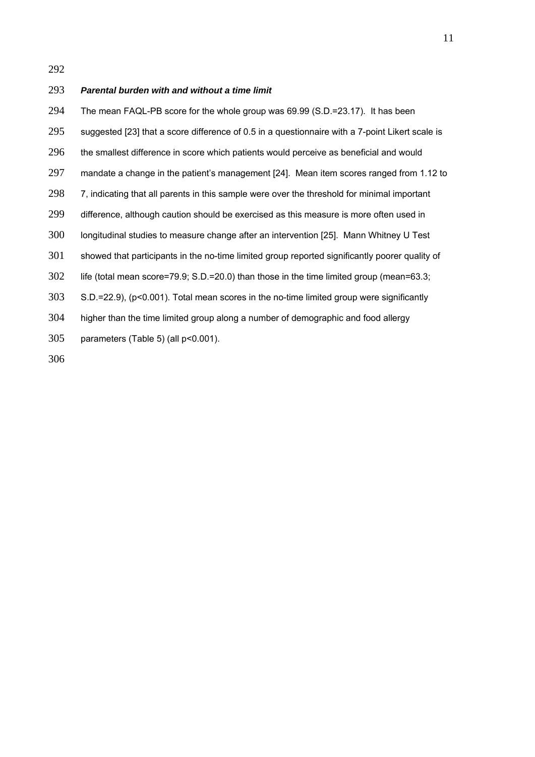#### *Parental burden with and without a time limit*

The mean FAQL-PB score for the whole group was 69.99 (S.D.=23.17). It has been suggested [23] that a score difference of 0.5 in a questionnaire with a 7-point Likert scale is the smallest difference in score which patients would perceive as beneficial and would mandate a change in the patient's management [24]. Mean item scores ranged from 1.12 to 298 7, indicating that all parents in this sample were over the threshold for minimal important difference, although caution should be exercised as this measure is more often used in longitudinal studies to measure change after an intervention [25]. Mann Whitney U Test showed that participants in the no-time limited group reported significantly poorer quality of 302 life (total mean score=79.9; S.D.=20.0) than those in the time limited group (mean=63.3; S.D.=22.9), (p<0.001). Total mean scores in the no-time limited group were significantly higher than the time limited group along a number of demographic and food allergy parameters (Table 5) (all p<0.001).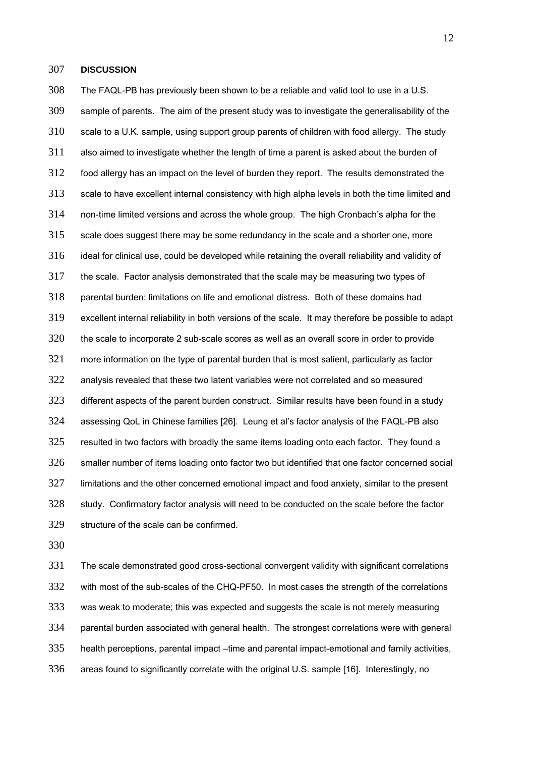#### **DISCUSSION**

The FAQL-PB has previously been shown to be a reliable and valid tool to use in a U.S. sample of parents. The aim of the present study was to investigate the generalisability of the scale to a U.K. sample, using support group parents of children with food allergy. The study also aimed to investigate whether the length of time a parent is asked about the burden of food allergy has an impact on the level of burden they report. The results demonstrated the scale to have excellent internal consistency with high alpha levels in both the time limited and non-time limited versions and across the whole group. The high Cronbach's alpha for the scale does suggest there may be some redundancy in the scale and a shorter one, more ideal for clinical use, could be developed while retaining the overall reliability and validity of the scale. Factor analysis demonstrated that the scale may be measuring two types of parental burden: limitations on life and emotional distress. Both of these domains had excellent internal reliability in both versions of the scale. It may therefore be possible to adapt the scale to incorporate 2 sub-scale scores as well as an overall score in order to provide more information on the type of parental burden that is most salient, particularly as factor analysis revealed that these two latent variables were not correlated and so measured different aspects of the parent burden construct. Similar results have been found in a study assessing QoL in Chinese families [26]. Leung et al's factor analysis of the FAQL-PB also 325 resulted in two factors with broadly the same items loading onto each factor. They found a smaller number of items loading onto factor two but identified that one factor concerned social limitations and the other concerned emotional impact and food anxiety, similar to the present study. Confirmatory factor analysis will need to be conducted on the scale before the factor structure of the scale can be confirmed.

The scale demonstrated good cross-sectional convergent validity with significant correlations with most of the sub-scales of the CHQ-PF50. In most cases the strength of the correlations was weak to moderate; this was expected and suggests the scale is not merely measuring parental burden associated with general health. The strongest correlations were with general health perceptions, parental impact –time and parental impact-emotional and family activities, areas found to significantly correlate with the original U.S. sample [16]. Interestingly, no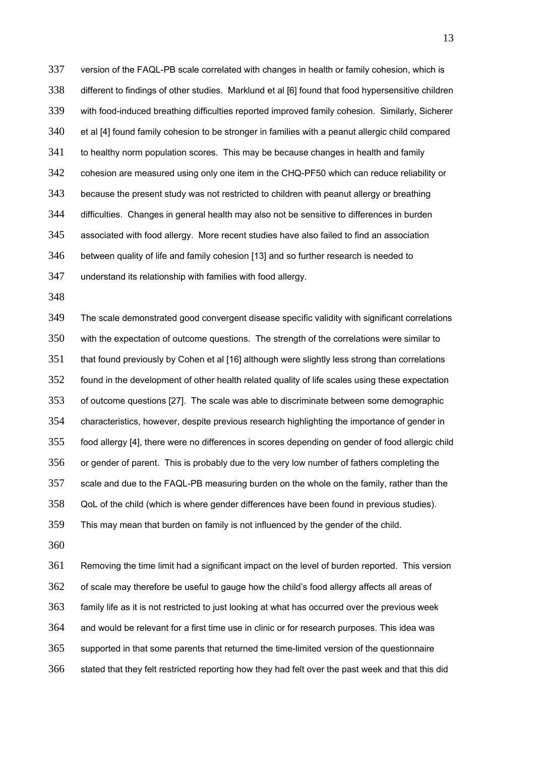version of the FAQL-PB scale correlated with changes in health or family cohesion, which is different to findings of other studies. Marklund et al [6] found that food hypersensitive children with food-induced breathing difficulties reported improved family cohesion. Similarly, Sicherer et al [4] found family cohesion to be stronger in families with a peanut allergic child compared 341 to healthy norm population scores. This may be because changes in health and family cohesion are measured using only one item in the CHQ-PF50 which can reduce reliability or because the present study was not restricted to children with peanut allergy or breathing difficulties. Changes in general health may also not be sensitive to differences in burden associated with food allergy. More recent studies have also failed to find an association between quality of life and family cohesion [13] and so further research is needed to understand its relationship with families with food allergy.

The scale demonstrated good convergent disease specific validity with significant correlations with the expectation of outcome questions. The strength of the correlations were similar to 351 that found previously by Cohen et al [16] although were slightly less strong than correlations found in the development of other health related quality of life scales using these expectation of outcome questions [27]. The scale was able to discriminate between some demographic characteristics, however, despite previous research highlighting the importance of gender in food allergy [4], there were no differences in scores depending on gender of food allergic child 356 or gender of parent. This is probably due to the very low number of fathers completing the scale and due to the FAQL-PB measuring burden on the whole on the family, rather than the QoL of the child (which is where gender differences have been found in previous studies). This may mean that burden on family is not influenced by the gender of the child.

Removing the time limit had a significant impact on the level of burden reported. This version 362 of scale may therefore be useful to gauge how the child's food allergy affects all areas of family life as it is not restricted to just looking at what has occurred over the previous week and would be relevant for a first time use in clinic or for research purposes. This idea was supported in that some parents that returned the time-limited version of the questionnaire stated that they felt restricted reporting how they had felt over the past week and that this did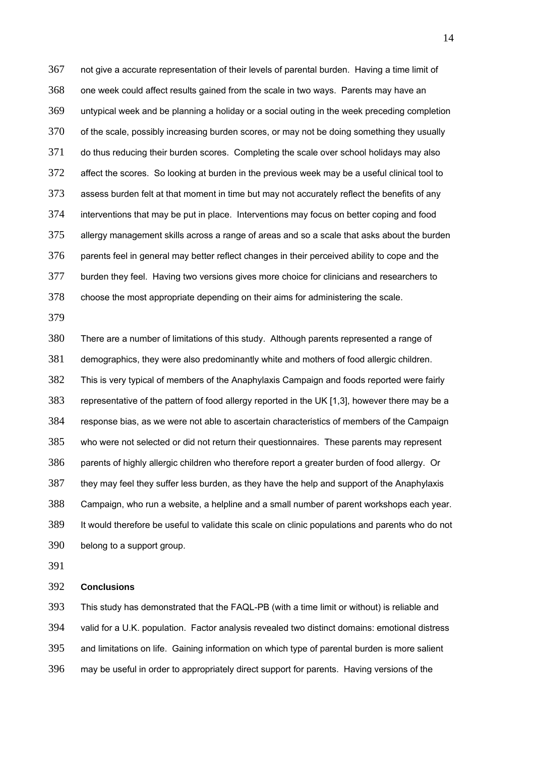not give a accurate representation of their levels of parental burden. Having a time limit of one week could affect results gained from the scale in two ways. Parents may have an untypical week and be planning a holiday or a social outing in the week preceding completion of the scale, possibly increasing burden scores, or may not be doing something they usually do thus reducing their burden scores. Completing the scale over school holidays may also affect the scores. So looking at burden in the previous week may be a useful clinical tool to assess burden felt at that moment in time but may not accurately reflect the benefits of any interventions that may be put in place. Interventions may focus on better coping and food allergy management skills across a range of areas and so a scale that asks about the burden parents feel in general may better reflect changes in their perceived ability to cope and the burden they feel. Having two versions gives more choice for clinicians and researchers to choose the most appropriate depending on their aims for administering the scale.

There are a number of limitations of this study. Although parents represented a range of demographics, they were also predominantly white and mothers of food allergic children. This is very typical of members of the Anaphylaxis Campaign and foods reported were fairly representative of the pattern of food allergy reported in the UK [1,3], however there may be a response bias, as we were not able to ascertain characteristics of members of the Campaign who were not selected or did not return their questionnaires. These parents may represent parents of highly allergic children who therefore report a greater burden of food allergy. Or they may feel they suffer less burden, as they have the help and support of the Anaphylaxis Campaign, who run a website, a helpline and a small number of parent workshops each year. It would therefore be useful to validate this scale on clinic populations and parents who do not belong to a support group.

#### **Conclusions**

This study has demonstrated that the FAQL-PB (with a time limit or without) is reliable and valid for a U.K. population. Factor analysis revealed two distinct domains: emotional distress and limitations on life. Gaining information on which type of parental burden is more salient may be useful in order to appropriately direct support for parents. Having versions of the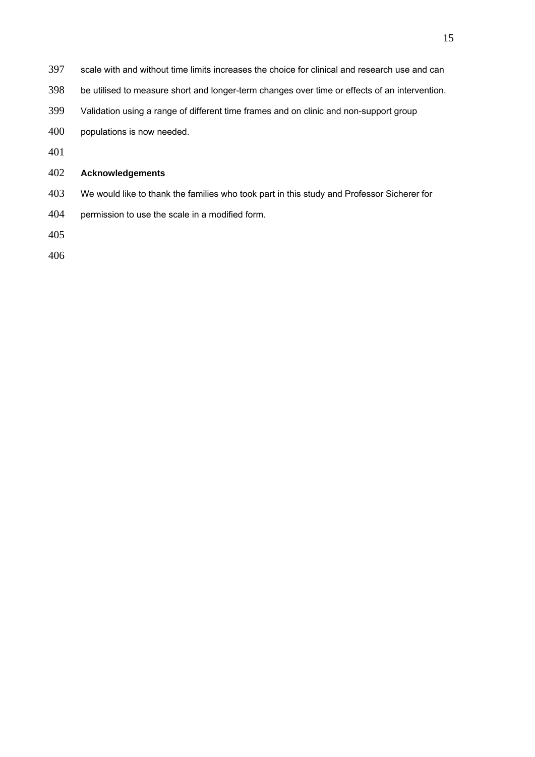- scale with and without time limits increases the choice for clinical and research use and can
- be utilised to measure short and longer-term changes over time or effects of an intervention.
- Validation using a range of different time frames and on clinic and non-support group
- populations is now needed.
- 

# **Acknowledgements**

- We would like to thank the families who took part in this study and Professor Sicherer for
- permission to use the scale in a modified form.
-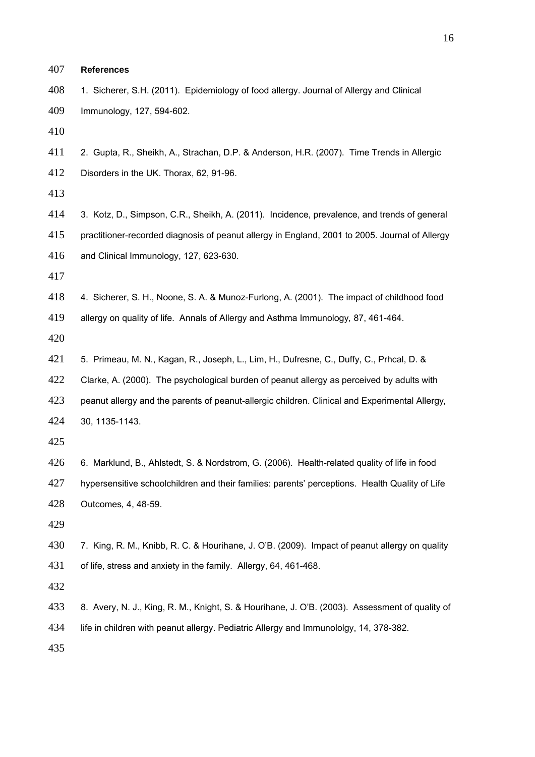| 407 | <b>References</b>                                                                              |
|-----|------------------------------------------------------------------------------------------------|
| 408 | 1. Sicherer, S.H. (2011). Epidemiology of food allergy. Journal of Allergy and Clinical        |
| 409 | Immunology, 127, 594-602.                                                                      |
| 410 |                                                                                                |
| 411 | 2. Gupta, R., Sheikh, A., Strachan, D.P. & Anderson, H.R. (2007). Time Trends in Allergic      |
| 412 | Disorders in the UK. Thorax, 62, 91-96.                                                        |
| 413 |                                                                                                |
| 414 | 3. Kotz, D., Simpson, C.R., Sheikh, A. (2011). Incidence, prevalence, and trends of general    |
| 415 | practitioner-recorded diagnosis of peanut allergy in England, 2001 to 2005. Journal of Allergy |
| 416 | and Clinical Immunology, 127, 623-630.                                                         |
| 417 |                                                                                                |
| 418 | 4. Sicherer, S. H., Noone, S. A. & Munoz-Furlong, A. (2001). The impact of childhood food      |
| 419 | allergy on quality of life. Annals of Allergy and Asthma Immunology, 87, 461-464.              |
| 420 |                                                                                                |
| 421 | 5. Primeau, M. N., Kagan, R., Joseph, L., Lim, H., Dufresne, C., Duffy, C., Prhcal, D. &       |
| 422 | Clarke, A. (2000). The psychological burden of peanut allergy as perceived by adults with      |
| 423 | peanut allergy and the parents of peanut-allergic children. Clinical and Experimental Allergy, |
| 424 | 30, 1135-1143.                                                                                 |
| 425 |                                                                                                |
| 426 | 6. Marklund, B., Ahlstedt, S. & Nordstrom, G. (2006). Health-related quality of life in food   |
| 427 | hypersensitive schoolchildren and their families: parents' perceptions. Health Quality of Life |
| 428 | Outcomes, 4, 48-59.                                                                            |
| 429 |                                                                                                |
| 430 | 7. King, R. M., Knibb, R. C. & Hourihane, J. O'B. (2009). Impact of peanut allergy on quality  |
| 431 | of life, stress and anxiety in the family. Allergy, 64, 461-468.                               |
| 432 |                                                                                                |
| 433 | 8. Avery, N. J., King, R. M., Knight, S. & Hourihane, J. O'B. (2003). Assessment of quality of |
| 434 | life in children with peanut allergy. Pediatric Allergy and Immunololgy, 14, 378-382.          |
| 435 |                                                                                                |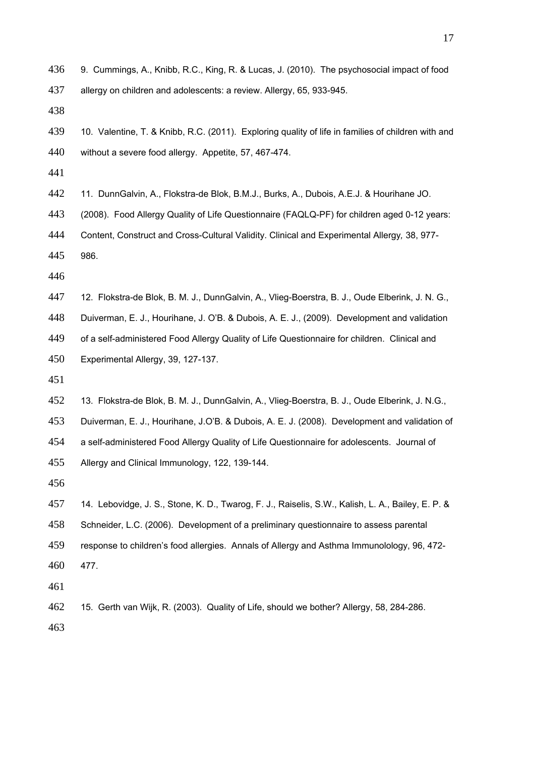- 9. Cummings, A., Knibb, R.C., King, R. & Lucas, J. (2010). The psychosocial impact of food
- allergy on children and adolescents: a review. Allergy, 65, 933-945.

- 10. Valentine, T. & Knibb, R.C. (2011). Exploring quality of life in families of children with and without a severe food allergy. Appetite, 57, 467-474.
- 
- 11. DunnGalvin, A., Flokstra-de Blok, B.M.J., Burks, A., Dubois, A.E.J. & Hourihane JO.
- (2008). Food Allergy Quality of Life Questionnaire (FAQLQ-PF) for children aged 0-12 years:
- Content, Construct and Cross-Cultural Validity. Clinical and Experimental Allergy*,* 38, 977-
- 

986.

- 
- 12. Flokstra-de Blok, B. M. J., DunnGalvin, A., Vlieg-Boerstra, B. J., Oude Elberink, J. N. G.,
- Duiverman, E. J., Hourihane, J. O'B. & Dubois, A. E. J., (2009). Development and validation
- of a self-administered Food Allergy Quality of Life Questionnaire for children. Clinical and Experimental Allergy, 39, 127-137.
- 
- 13. Flokstra-de Blok, B. M. J., DunnGalvin, A., Vlieg-Boerstra, B. J., Oude Elberink, J. N.G.,
- Duiverman, E. J., Hourihane, J.O'B. & Dubois, A. E. J. (2008). Development and validation of
- a self-administered Food Allergy Quality of Life Questionnaire for adolescents. Journal of
- Allergy and Clinical Immunology, 122, 139-144.
- 
- 14. Lebovidge, J. S., Stone, K. D., Twarog, F. J., Raiselis, S.W., Kalish, L. A., Bailey, E. P. & Schneider, L.C. (2006). Development of a preliminary questionnaire to assess parental response to children's food allergies. Annals of Allergy and Asthma Immunolology, 96, 472- 477.
- 
- 15. Gerth van Wijk, R. (2003). Quality of Life, should we bother? Allergy, 58, 284-286.
-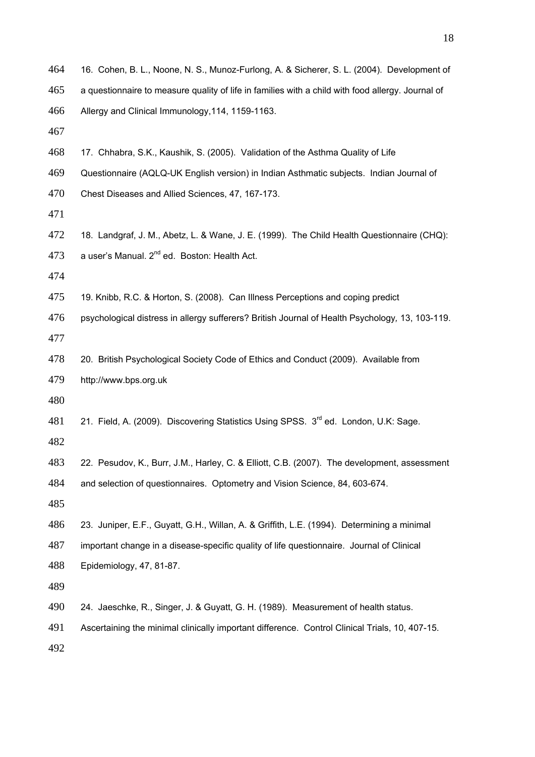| 464 | 16. Cohen, B. L., Noone, N. S., Munoz-Furlong, A. & Sicherer, S. L. (2004). Development of        |
|-----|---------------------------------------------------------------------------------------------------|
| 465 | a questionnaire to measure quality of life in families with a child with food allergy. Journal of |
| 466 | Allergy and Clinical Immunology, 114, 1159-1163.                                                  |
| 467 |                                                                                                   |
| 468 | 17. Chhabra, S.K., Kaushik, S. (2005). Validation of the Asthma Quality of Life                   |
| 469 | Questionnaire (AQLQ-UK English version) in Indian Asthmatic subjects. Indian Journal of           |
| 470 | Chest Diseases and Allied Sciences, 47, 167-173.                                                  |
| 471 |                                                                                                   |
| 472 | 18. Landgraf, J. M., Abetz, L. & Wane, J. E. (1999). The Child Health Questionnaire (CHQ):        |
| 473 | a user's Manual. 2 <sup>nd</sup> ed. Boston: Health Act.                                          |
| 474 |                                                                                                   |
| 475 | 19. Knibb, R.C. & Horton, S. (2008). Can Illness Perceptions and coping predict                   |
| 476 | psychological distress in allergy sufferers? British Journal of Health Psychology, 13, 103-119.   |
| 477 |                                                                                                   |
| 478 | 20. British Psychological Society Code of Ethics and Conduct (2009). Available from               |
| 479 | http://www.bps.org.uk                                                                             |
| 480 |                                                                                                   |
| 481 | 21. Field, A. (2009). Discovering Statistics Using SPSS. 3 <sup>rd</sup> ed. London, U.K: Sage.   |
| 482 |                                                                                                   |
| 483 | 22. Pesudov, K., Burr, J.M., Harley, C. & Elliott, C.B. (2007). The development, assessment       |
| 484 | and selection of questionnaires. Optometry and Vision Science, 84, 603-674.                       |
| 485 |                                                                                                   |
| 486 | 23. Juniper, E.F., Guyatt, G.H., Willan, A. & Griffith, L.E. (1994). Determining a minimal        |
| 487 | important change in a disease-specific quality of life questionnaire. Journal of Clinical         |
| 488 | Epidemiology, 47, 81-87.                                                                          |
| 489 |                                                                                                   |
| 490 | 24. Jaeschke, R., Singer, J. & Guyatt, G. H. (1989). Measurement of health status.                |
| 491 | Ascertaining the minimal clinically important difference. Control Clinical Trials, 10, 407-15.    |
| 492 |                                                                                                   |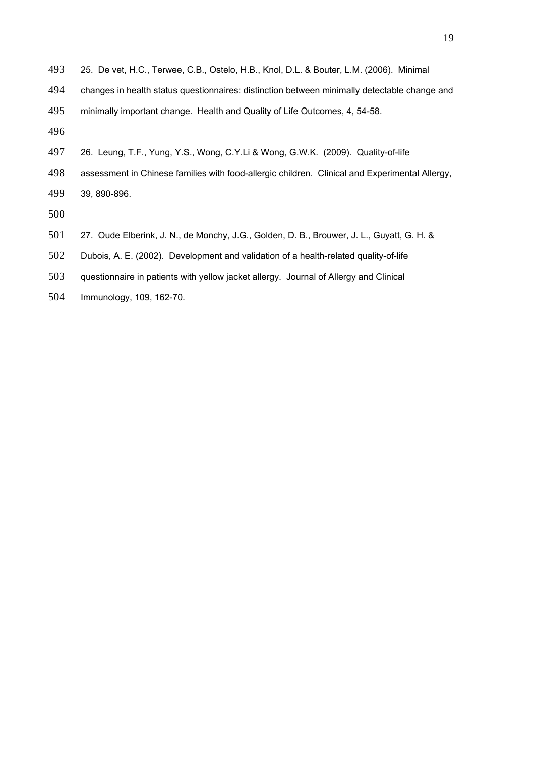- 25. De vet, H.C., Terwee, C.B., Ostelo, H.B., Knol, D.L. & Bouter, L.M. (2006). Minimal
- changes in health status questionnaires: distinction between minimally detectable change and
- minimally important change. Health and Quality of Life Outcomes, 4, 54-58.
- 
- 26. Leung, T.F., Yung, Y.S., Wong, C.Y.Li & Wong, G.W.K. (2009). Quality-of-life
- assessment in Chinese families with food-allergic children. Clinical and Experimental Allergy, 39, 890-896.
- 
- 27. Oude Elberink, J. N., de Monchy, J.G., Golden, D. B., Brouwer, J. L., Guyatt, G. H. &
- Dubois, A. E. (2002). Development and validation of a health-related quality-of-life
- questionnaire in patients with yellow jacket allergy. Journal of Allergy and Clinical
- Immunology, 109, 162-70.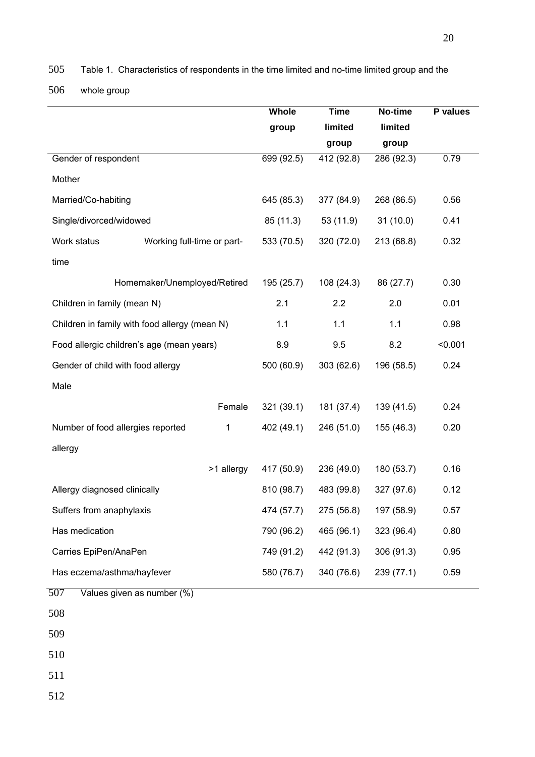505 Table 1. Characteristics of respondents in the time limited and no-time limited group and the

506 whole group

|                                               |              | Whole      | <b>Time</b> | No-time    | P values |
|-----------------------------------------------|--------------|------------|-------------|------------|----------|
|                                               |              | group      | limited     | limited    |          |
|                                               |              |            | group       | group      |          |
| Gender of respondent                          |              | 699(92.5)  | 412 (92.8)  | 286 (92.3) | 0.79     |
| Mother                                        |              |            |             |            |          |
| Married/Co-habiting                           |              | 645 (85.3) | 377 (84.9)  | 268 (86.5) | 0.56     |
| Single/divorced/widowed                       |              | 85 (11.3)  | 53 (11.9)   | 31(10.0)   | 0.41     |
| Work status<br>Working full-time or part-     |              | 533 (70.5) | 320 (72.0)  | 213 (68.8) | 0.32     |
| time                                          |              |            |             |            |          |
| Homemaker/Unemployed/Retired                  |              | 195 (25.7) | 108(24.3)   | 86 (27.7)  | 0.30     |
| Children in family (mean N)                   |              | 2.1        | 2.2         | 2.0        | 0.01     |
| Children in family with food allergy (mean N) |              | 1.1        | 1.1         | 1.1        | 0.98     |
| Food allergic children's age (mean years)     |              | 8.9        | 9.5         | 8.2        | < 0.001  |
| Gender of child with food allergy             |              | 500 (60.9) | 303(62.6)   | 196 (58.5) | 0.24     |
| Male                                          |              |            |             |            |          |
|                                               | Female       | 321(39.1)  | 181 (37.4)  | 139 (41.5) | 0.24     |
| Number of food allergies reported             | $\mathbf{1}$ | 402 (49.1) | 246 (51.0)  | 155 (46.3) | 0.20     |
| allergy                                       |              |            |             |            |          |
|                                               | >1 allergy   | 417 (50.9) | 236 (49.0)  | 180 (53.7) | 0.16     |
| Allergy diagnosed clinically                  |              | 810 (98.7) | 483 (99.8)  | 327 (97.6) | 0.12     |
| Suffers from anaphylaxis                      |              | 474 (57.7) | 275 (56.8)  | 197 (58.9) | 0.57     |
| Has medication                                |              | 790 (96.2) | 465 (96.1)  | 323 (96.4) | 0.80     |
| Carries EpiPen/AnaPen                         |              | 749 (91.2) | 442 (91.3)  | 306 (91.3) | 0.95     |
| Has eczema/asthma/hayfever                    |              | 580 (76.7) | 340 (76.6)  | 239 (77.1) | 0.59     |
| 507<br>Values given as number (%)             |              |            |             |            |          |
| 508                                           |              |            |             |            |          |
| 509                                           |              |            |             |            |          |

510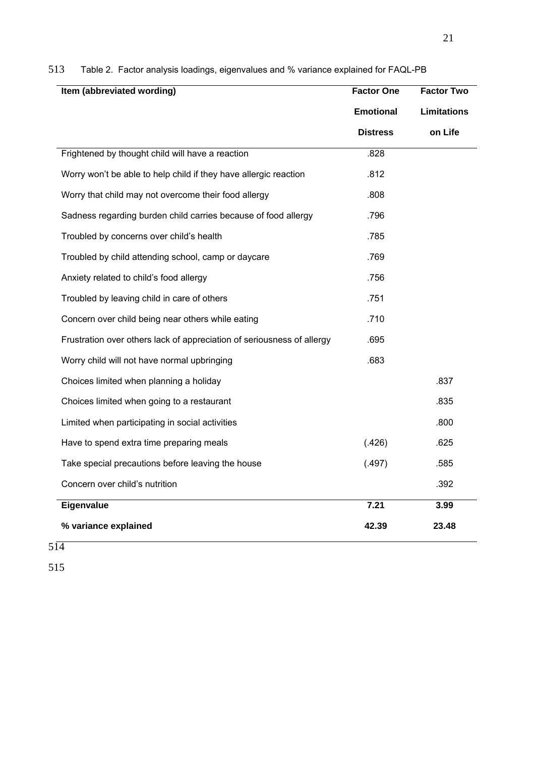| Item (abbreviated wording)                                             | <b>Factor One</b> | <b>Factor Two</b>  |
|------------------------------------------------------------------------|-------------------|--------------------|
|                                                                        | <b>Emotional</b>  | <b>Limitations</b> |
|                                                                        | <b>Distress</b>   | on Life            |
| Frightened by thought child will have a reaction                       | .828              |                    |
| Worry won't be able to help child if they have allergic reaction       | .812              |                    |
| Worry that child may not overcome their food allergy                   | .808              |                    |
| Sadness regarding burden child carries because of food allergy         | .796              |                    |
| Troubled by concerns over child's health                               | .785              |                    |
| Troubled by child attending school, camp or daycare                    | .769              |                    |
| Anxiety related to child's food allergy                                | .756              |                    |
| Troubled by leaving child in care of others                            | .751              |                    |
| Concern over child being near others while eating                      | .710              |                    |
| Frustration over others lack of appreciation of seriousness of allergy | .695              |                    |
| Worry child will not have normal upbringing                            | .683              |                    |
| Choices limited when planning a holiday                                |                   | .837               |
| Choices limited when going to a restaurant                             |                   | .835               |
| Limited when participating in social activities                        |                   | .800               |
| Have to spend extra time preparing meals                               | (.426)            | .625               |
| Take special precautions before leaving the house                      | (.497)            | .585               |
| Concern over child's nutrition                                         |                   | .392               |
| <b>Eigenvalue</b>                                                      | 7.21              | 3.99               |
| % variance explained                                                   | 42.39             | 23.48              |

# 513 Table 2. Factor analysis loadings, eigenvalues and % variance explained for FAQL-PB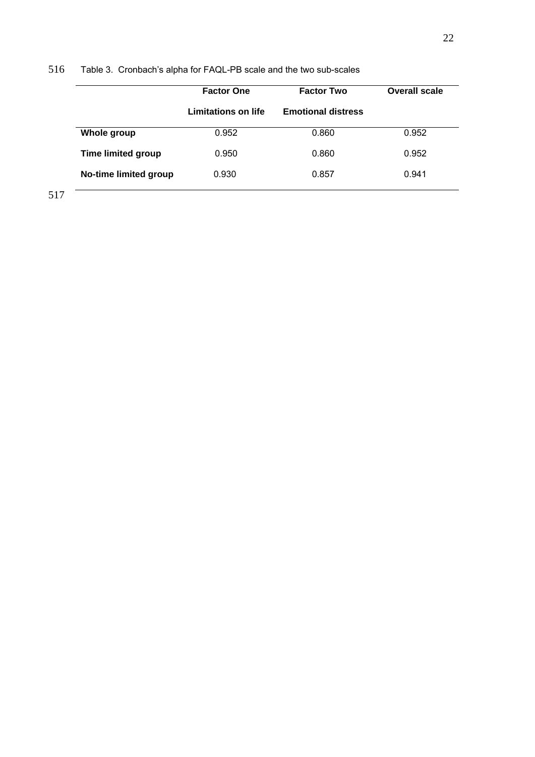# 516 Table 3. Cronbach's alpha for FAQL-PB scale and the two sub-scales

|                           | <b>Factor One</b>   | <b>Factor Two</b>         | <b>Overall scale</b> |  |
|---------------------------|---------------------|---------------------------|----------------------|--|
|                           | Limitations on life | <b>Emotional distress</b> |                      |  |
| Whole group               | 0.952               | 0.860                     | 0.952                |  |
| <b>Time limited group</b> | 0.950               | 0.860                     | 0.952                |  |
| No-time limited group     | 0.930               | 0.857                     | 0.941                |  |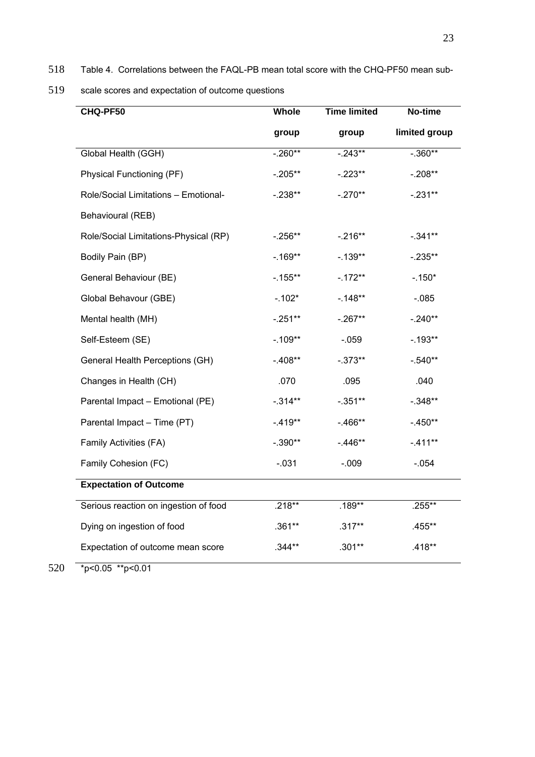518 Table 4. Correlations between the FAQL-PB mean total score with the CHQ-PF50 mean sub-

519 scale scores and expectation of outcome questions

| CHQ-PF50                                    | Whole      | <b>Time limited</b> | No-time       |
|---------------------------------------------|------------|---------------------|---------------|
|                                             | group      | group               | limited group |
| Global Health (GGH)                         | $-.260**$  | $-.243**$           | $-.360**$     |
| Physical Functioning (PF)                   | $-.205**$  | $-.223**$           | $-.208**$     |
| Role/Social Limitations - Emotional-        | $-.238**$  | $-.270**$           | $-.231**$     |
| Behavioural (REB)                           |            |                     |               |
| Role/Social Limitations-Physical (RP)       | $-0.256**$ | $-.216**$           | $-.341**$     |
| Bodily Pain (BP)                            | $-169**$   | $-0.139**$          | $-0.235**$    |
| General Behaviour (BE)                      | $-.155**$  | $-172**$            | $-.150*$      |
| Global Behavour (GBE)                       | $-.102*$   | $-148**$            | $-0.085$      |
| Mental health (MH)                          | $-.251**$  | $-.267**$           | $-.240**$     |
| Self-Esteem (SE)                            | $-.109**$  | $-0.059$            | $-.193**$     |
| General Health Perceptions (GH)             | $-.408**$  | $-.373**$           | $-.540**$     |
| Changes in Health (CH)                      | .070       | .095                | .040          |
| Parental Impact - Emotional (PE)            | $-.314**$  | $-.351**$           | $-.348**$     |
| Parental Impact - Time (PT)                 | $-.419**$  | $-466**$            | $-450**$      |
| Family Activities (FA)                      | $-.390**$  | $-446**$            | $-.411**$     |
| Family Cohesion (FC)                        | $-0.031$   | $-0.09$             | $-0.054$      |
| <b>Expectation of Outcome</b>               |            |                     |               |
| Serious reaction on ingestion of food       | $.218**$   | .189**              | .255**        |
| Dying on ingestion of food                  | $.361**$   | $.317***$           | .455**        |
| Expectation of outcome mean score           | $.344**$   | $.301**$            | .418**        |
| $*_{n}$ / 0 $\sigma$ $*_{n}$ / 0 0 $\sigma$ |            |                     |               |

520  $\sqrt{\frac{1}{2}p}$  <0.05 \*\*p<0.01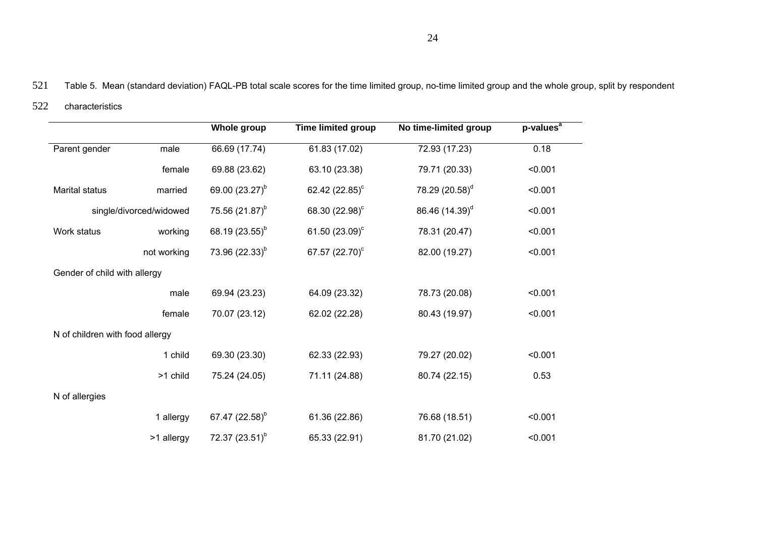521 Table 5. Mean (standard deviation) FAQL-PB total scale scores for the time limited group, no-time limited group and the whole group, split by respondent

#### 522 characteristics

|                                 |                         | <b>Whole group</b>         | <b>Time limited group</b>  | No time-limited group      | p-values <sup>a</sup> |
|---------------------------------|-------------------------|----------------------------|----------------------------|----------------------------|-----------------------|
| Parent gender                   | male                    | 66.69 (17.74)              | 61.83(17.02)               | 72.93 (17.23)              | 0.18                  |
|                                 | female                  | 69.88 (23.62)              | 63.10 (23.38)              | 79.71 (20.33)              | < 0.001               |
| <b>Marital status</b>           | married                 | 69.00 (23.27) <sup>b</sup> | 62.42 $(22.85)^c$          | 78.29 (20.58) <sup>d</sup> | < 0.001               |
|                                 | single/divorced/widowed | 75.56 $(21.87)^b$          | 68.30 (22.98) <sup>c</sup> | 86.46 (14.39) <sup>d</sup> | < 0.001               |
| Work status                     | working                 | 68.19 $(23.55)^{b}$        | 61.50 $(23.09)^c$          | 78.31 (20.47)              | < 0.001               |
|                                 | not working             | 73.96 $(22.33)^{b}$        | 67.57 (22.70) <sup>c</sup> | 82.00 (19.27)              | < 0.001               |
| Gender of child with allergy    |                         |                            |                            |                            |                       |
|                                 | male                    | 69.94 (23.23)              | 64.09 (23.32)              | 78.73 (20.08)              | < 0.001               |
|                                 | female                  | 70.07 (23.12)              | 62.02 (22.28)              | 80.43 (19.97)              | < 0.001               |
| N of children with food allergy |                         |                            |                            |                            |                       |
|                                 | 1 child                 | 69.30 (23.30)              | 62.33 (22.93)              | 79.27 (20.02)              | < 0.001               |
|                                 | >1 child                | 75.24 (24.05)              | 71.11 (24.88)              | 80.74 (22.15)              | 0.53                  |
| N of allergies                  |                         |                            |                            |                            |                       |
|                                 | 1 allergy               | 67.47 (22.58) <sup>b</sup> | 61.36 (22.86)              | 76.68 (18.51)              | < 0.001               |
|                                 | >1 allergy              | 72.37 $(23.51)^b$          | 65.33 (22.91)              | 81.70 (21.02)              | < 0.001               |